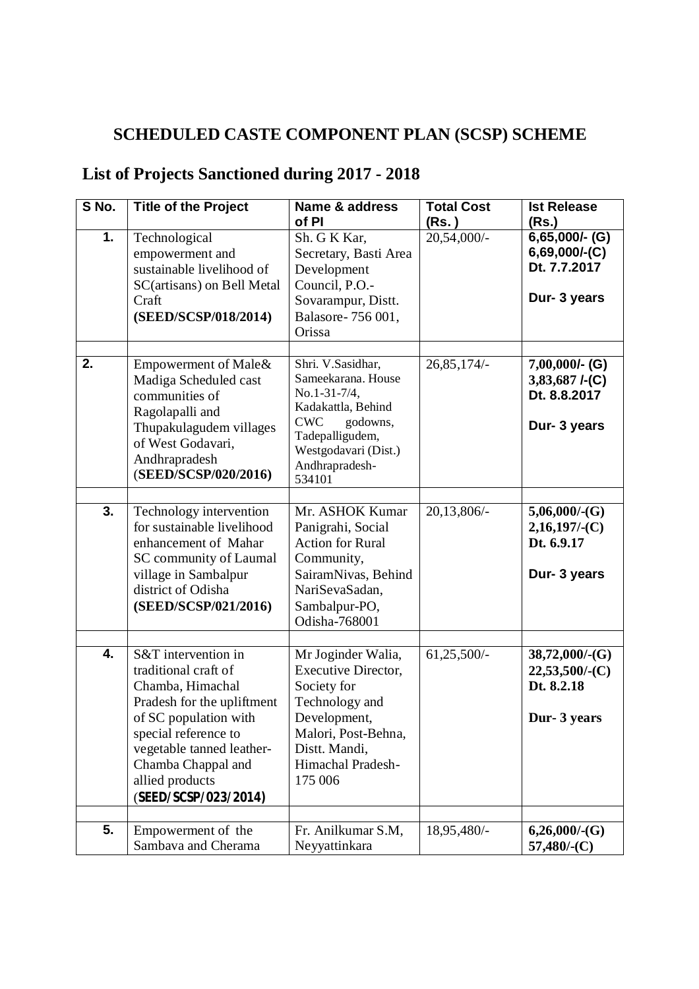## **SCHEDULED CASTE COMPONENT PLAN (SCSP) SCHEME**

## **List of Projects Sanctioned during 2017 - 2018**

| S No. | <b>Title of the Project</b>                                                                                                                                                                                                                  | Name & address                                                                                                                                                                 | <b>Total Cost</b> | <b>Ist Release</b>                                                       |
|-------|----------------------------------------------------------------------------------------------------------------------------------------------------------------------------------------------------------------------------------------------|--------------------------------------------------------------------------------------------------------------------------------------------------------------------------------|-------------------|--------------------------------------------------------------------------|
|       |                                                                                                                                                                                                                                              | of PI                                                                                                                                                                          | (Rs. )            | (Rs.)                                                                    |
| 1.    | Technological<br>empowerment and<br>sustainable livelihood of<br>SC(artisans) on Bell Metal<br>Craft<br>(SEED/SCSP/018/2014)                                                                                                                 | Sh. G K Kar,<br>Secretary, Basti Area<br>Development<br>Council, P.O.-<br>Sovarampur, Distt.<br>Balasore-756 001,<br>Orissa                                                    | 20,54,000/-       | $6,65,000/$ - (G)<br>$6,69,000/$ - $(C)$<br>Dt. 7.7.2017<br>Dur- 3 years |
|       |                                                                                                                                                                                                                                              |                                                                                                                                                                                |                   |                                                                          |
| 2.    | Empowerment of Male&<br>Madiga Scheduled cast<br>communities of<br>Ragolapalli and<br>Thupakulagudem villages<br>of West Godavari,<br>Andhrapradesh<br>(SEED/SCSP/020/2016)                                                                  | Shri. V.Sasidhar,<br>Sameekarana. House<br>No.1-31-7/4,<br>Kadakattla, Behind<br><b>CWC</b><br>godowns,<br>Tadepalligudem,<br>Westgodavari (Dist.)<br>Andhrapradesh-<br>534101 | $26,85,174/-$     | $7,00,000/$ - (G)<br>3,83,687 $I-(C)$<br>Dt. 8.8.2017<br>Dur- 3 years    |
|       |                                                                                                                                                                                                                                              |                                                                                                                                                                                |                   |                                                                          |
| 3.    | Technology intervention<br>for sustainable livelihood<br>enhancement of Mahar<br>SC community of Laumal<br>village in Sambalpur<br>district of Odisha<br>(SEED/SCSP/021/2016)                                                                | Mr. ASHOK Kumar<br>Panigrahi, Social<br><b>Action for Rural</b><br>Community,<br>SairamNivas, Behind<br>NariSevaSadan,<br>Sambalpur-PO,<br>Odisha-768001                       | $20,13,806/-$     | $5,06,000$ /-(G)<br>$2,16,197/-(C)$<br>Dt. 6.9.17<br>Dur- 3 years        |
|       |                                                                                                                                                                                                                                              |                                                                                                                                                                                |                   |                                                                          |
| 4.    | S&T intervention in<br>traditional craft of<br>Chamba, Himachal<br>Pradesh for the upliftment<br>of SC population with<br>special reference to<br>vegetable tanned leather-<br>Chamba Chappal and<br>allied products<br>(SEED/SCSP/023/2014) | Mr Joginder Walia,<br><b>Executive Director,</b><br>Society for<br>Technology and<br>Development,<br>Malori, Post-Behna,<br>Distt. Mandi,<br>Himachal Pradesh-<br>175 006      | $61,25,500/-$     | $38,72,000$ /-(G)<br>$22,53,500/$ -(C)<br>Dt. 8.2.18<br>Dur-3 years      |
| 5.    | Empowerment of the                                                                                                                                                                                                                           | Fr. Anilkumar S.M,                                                                                                                                                             | 18,95,480/-       | $6,26,000$ /-(G)                                                         |
|       | Sambava and Cherama                                                                                                                                                                                                                          | Neyyattinkara                                                                                                                                                                  |                   | $57,480$ /-(C)                                                           |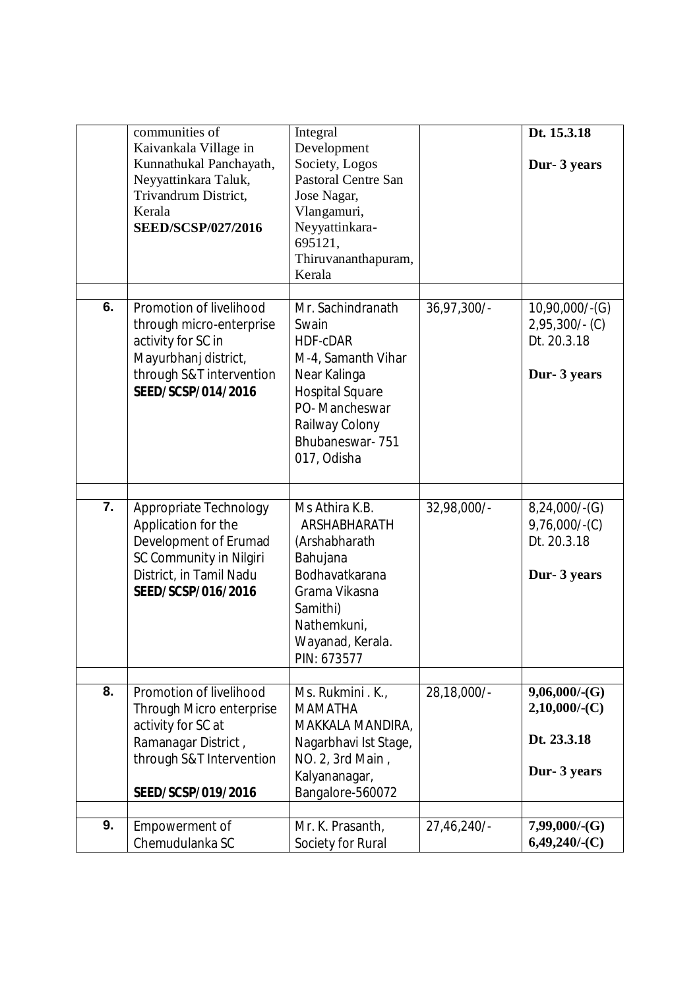| Dt. 15.3.18<br>Integral<br>Kaivankala Village in<br>Development<br>Society, Logos<br>Kunnathukal Panchayath,<br>Dur- 3 years<br>Neyyattinkara Taluk,<br><b>Pastoral Centre San</b><br>Trivandrum District,<br>Jose Nagar,<br>Kerala<br>Vlangamuri,<br><b>SEED/SCSP/027/2016</b><br>Neyyattinkara-<br>695121,<br>Thiruvananthapuram,<br>Kerala<br>6.<br>Promotion of livelihood<br>Mr. Sachindranath<br>$36,97,300/-$<br>$10,90,000/$ -(G)<br>through micro-enterprise<br>$2,95,300/$ - (C)<br>Swain<br>activity for SC in<br>Dt. 20.3.18<br><b>HDF-cDAR</b><br>Mayurbhanj district,<br>M-4, Samanth Vihar<br>through S&T intervention<br>Near Kalinga<br>Dur- 3 years<br>SEED/SCSP/014/2016<br><b>Hospital Square</b><br>PO-Mancheswar<br>Railway Colony<br>Bhubaneswar-751<br>017, Odisha<br>$\overline{7}$ .<br>Ms Athira K.B.<br>Appropriate Technology<br>32,98,000/-<br>$8,24,000/-(G)$<br>Application for the<br>ARSHABHARATH<br>$9,76,000/-(C)$<br>Development of Erumad<br>Dt. 20.3.18<br>(Arshabharath<br>SC Community in Nilgiri<br>Bahujana<br>Bodhavatkarana<br>District, in Tamil Nadu<br>Dur- 3 years<br>SEED/SCSP/016/2016<br>Grama Vikasna<br>Samithi)<br>Nathemkuni,<br>Wayanad, Kerala.<br>PIN: 673577<br>8.<br>Promotion of livelihood<br>28,18,000/-<br>9,06,000/(G)<br>Ms. Rukmini . K.,<br>$2,10,000/$ - $(C)$<br>Through Micro enterprise<br><b>MAMATHA</b><br>activity for SC at<br>MAKKALA MANDIRA,<br>Dt. 23.3.18<br>Ramanagar District,<br>Nagarbhavi Ist Stage,<br>through S&T Intervention<br>NO. 2, 3rd Main,<br>Dur- 3 years<br>Kalyananagar,<br>Bangalore-560072<br>SEED/SCSP/019/2016 |    | communities of |                  |            |                  |
|------------------------------------------------------------------------------------------------------------------------------------------------------------------------------------------------------------------------------------------------------------------------------------------------------------------------------------------------------------------------------------------------------------------------------------------------------------------------------------------------------------------------------------------------------------------------------------------------------------------------------------------------------------------------------------------------------------------------------------------------------------------------------------------------------------------------------------------------------------------------------------------------------------------------------------------------------------------------------------------------------------------------------------------------------------------------------------------------------------------------------------------------------------------------------------------------------------------------------------------------------------------------------------------------------------------------------------------------------------------------------------------------------------------------------------------------------------------------------------------------------------------------------------------------------------------------------------------------------------------------|----|----------------|------------------|------------|------------------|
|                                                                                                                                                                                                                                                                                                                                                                                                                                                                                                                                                                                                                                                                                                                                                                                                                                                                                                                                                                                                                                                                                                                                                                                                                                                                                                                                                                                                                                                                                                                                                                                                                        |    |                |                  |            |                  |
|                                                                                                                                                                                                                                                                                                                                                                                                                                                                                                                                                                                                                                                                                                                                                                                                                                                                                                                                                                                                                                                                                                                                                                                                                                                                                                                                                                                                                                                                                                                                                                                                                        |    |                |                  |            |                  |
|                                                                                                                                                                                                                                                                                                                                                                                                                                                                                                                                                                                                                                                                                                                                                                                                                                                                                                                                                                                                                                                                                                                                                                                                                                                                                                                                                                                                                                                                                                                                                                                                                        |    |                |                  |            |                  |
|                                                                                                                                                                                                                                                                                                                                                                                                                                                                                                                                                                                                                                                                                                                                                                                                                                                                                                                                                                                                                                                                                                                                                                                                                                                                                                                                                                                                                                                                                                                                                                                                                        |    |                |                  |            |                  |
|                                                                                                                                                                                                                                                                                                                                                                                                                                                                                                                                                                                                                                                                                                                                                                                                                                                                                                                                                                                                                                                                                                                                                                                                                                                                                                                                                                                                                                                                                                                                                                                                                        |    |                |                  |            |                  |
|                                                                                                                                                                                                                                                                                                                                                                                                                                                                                                                                                                                                                                                                                                                                                                                                                                                                                                                                                                                                                                                                                                                                                                                                                                                                                                                                                                                                                                                                                                                                                                                                                        |    |                |                  |            |                  |
|                                                                                                                                                                                                                                                                                                                                                                                                                                                                                                                                                                                                                                                                                                                                                                                                                                                                                                                                                                                                                                                                                                                                                                                                                                                                                                                                                                                                                                                                                                                                                                                                                        |    |                |                  |            |                  |
|                                                                                                                                                                                                                                                                                                                                                                                                                                                                                                                                                                                                                                                                                                                                                                                                                                                                                                                                                                                                                                                                                                                                                                                                                                                                                                                                                                                                                                                                                                                                                                                                                        |    |                |                  |            |                  |
|                                                                                                                                                                                                                                                                                                                                                                                                                                                                                                                                                                                                                                                                                                                                                                                                                                                                                                                                                                                                                                                                                                                                                                                                                                                                                                                                                                                                                                                                                                                                                                                                                        |    |                |                  |            |                  |
|                                                                                                                                                                                                                                                                                                                                                                                                                                                                                                                                                                                                                                                                                                                                                                                                                                                                                                                                                                                                                                                                                                                                                                                                                                                                                                                                                                                                                                                                                                                                                                                                                        |    |                |                  |            |                  |
|                                                                                                                                                                                                                                                                                                                                                                                                                                                                                                                                                                                                                                                                                                                                                                                                                                                                                                                                                                                                                                                                                                                                                                                                                                                                                                                                                                                                                                                                                                                                                                                                                        |    |                |                  |            |                  |
|                                                                                                                                                                                                                                                                                                                                                                                                                                                                                                                                                                                                                                                                                                                                                                                                                                                                                                                                                                                                                                                                                                                                                                                                                                                                                                                                                                                                                                                                                                                                                                                                                        |    |                |                  |            |                  |
|                                                                                                                                                                                                                                                                                                                                                                                                                                                                                                                                                                                                                                                                                                                                                                                                                                                                                                                                                                                                                                                                                                                                                                                                                                                                                                                                                                                                                                                                                                                                                                                                                        |    |                |                  |            |                  |
|                                                                                                                                                                                                                                                                                                                                                                                                                                                                                                                                                                                                                                                                                                                                                                                                                                                                                                                                                                                                                                                                                                                                                                                                                                                                                                                                                                                                                                                                                                                                                                                                                        |    |                |                  |            |                  |
|                                                                                                                                                                                                                                                                                                                                                                                                                                                                                                                                                                                                                                                                                                                                                                                                                                                                                                                                                                                                                                                                                                                                                                                                                                                                                                                                                                                                                                                                                                                                                                                                                        |    |                |                  |            |                  |
|                                                                                                                                                                                                                                                                                                                                                                                                                                                                                                                                                                                                                                                                                                                                                                                                                                                                                                                                                                                                                                                                                                                                                                                                                                                                                                                                                                                                                                                                                                                                                                                                                        |    |                |                  |            |                  |
|                                                                                                                                                                                                                                                                                                                                                                                                                                                                                                                                                                                                                                                                                                                                                                                                                                                                                                                                                                                                                                                                                                                                                                                                                                                                                                                                                                                                                                                                                                                                                                                                                        |    |                |                  |            |                  |
|                                                                                                                                                                                                                                                                                                                                                                                                                                                                                                                                                                                                                                                                                                                                                                                                                                                                                                                                                                                                                                                                                                                                                                                                                                                                                                                                                                                                                                                                                                                                                                                                                        |    |                |                  |            |                  |
|                                                                                                                                                                                                                                                                                                                                                                                                                                                                                                                                                                                                                                                                                                                                                                                                                                                                                                                                                                                                                                                                                                                                                                                                                                                                                                                                                                                                                                                                                                                                                                                                                        |    |                |                  |            |                  |
|                                                                                                                                                                                                                                                                                                                                                                                                                                                                                                                                                                                                                                                                                                                                                                                                                                                                                                                                                                                                                                                                                                                                                                                                                                                                                                                                                                                                                                                                                                                                                                                                                        |    |                |                  |            |                  |
|                                                                                                                                                                                                                                                                                                                                                                                                                                                                                                                                                                                                                                                                                                                                                                                                                                                                                                                                                                                                                                                                                                                                                                                                                                                                                                                                                                                                                                                                                                                                                                                                                        |    |                |                  |            |                  |
|                                                                                                                                                                                                                                                                                                                                                                                                                                                                                                                                                                                                                                                                                                                                                                                                                                                                                                                                                                                                                                                                                                                                                                                                                                                                                                                                                                                                                                                                                                                                                                                                                        |    |                |                  |            |                  |
|                                                                                                                                                                                                                                                                                                                                                                                                                                                                                                                                                                                                                                                                                                                                                                                                                                                                                                                                                                                                                                                                                                                                                                                                                                                                                                                                                                                                                                                                                                                                                                                                                        |    |                |                  |            |                  |
|                                                                                                                                                                                                                                                                                                                                                                                                                                                                                                                                                                                                                                                                                                                                                                                                                                                                                                                                                                                                                                                                                                                                                                                                                                                                                                                                                                                                                                                                                                                                                                                                                        |    |                |                  |            |                  |
|                                                                                                                                                                                                                                                                                                                                                                                                                                                                                                                                                                                                                                                                                                                                                                                                                                                                                                                                                                                                                                                                                                                                                                                                                                                                                                                                                                                                                                                                                                                                                                                                                        |    |                |                  |            |                  |
|                                                                                                                                                                                                                                                                                                                                                                                                                                                                                                                                                                                                                                                                                                                                                                                                                                                                                                                                                                                                                                                                                                                                                                                                                                                                                                                                                                                                                                                                                                                                                                                                                        |    |                |                  |            |                  |
|                                                                                                                                                                                                                                                                                                                                                                                                                                                                                                                                                                                                                                                                                                                                                                                                                                                                                                                                                                                                                                                                                                                                                                                                                                                                                                                                                                                                                                                                                                                                                                                                                        |    |                |                  |            |                  |
|                                                                                                                                                                                                                                                                                                                                                                                                                                                                                                                                                                                                                                                                                                                                                                                                                                                                                                                                                                                                                                                                                                                                                                                                                                                                                                                                                                                                                                                                                                                                                                                                                        |    |                |                  |            |                  |
|                                                                                                                                                                                                                                                                                                                                                                                                                                                                                                                                                                                                                                                                                                                                                                                                                                                                                                                                                                                                                                                                                                                                                                                                                                                                                                                                                                                                                                                                                                                                                                                                                        |    |                |                  |            |                  |
|                                                                                                                                                                                                                                                                                                                                                                                                                                                                                                                                                                                                                                                                                                                                                                                                                                                                                                                                                                                                                                                                                                                                                                                                                                                                                                                                                                                                                                                                                                                                                                                                                        |    |                |                  |            |                  |
|                                                                                                                                                                                                                                                                                                                                                                                                                                                                                                                                                                                                                                                                                                                                                                                                                                                                                                                                                                                                                                                                                                                                                                                                                                                                                                                                                                                                                                                                                                                                                                                                                        |    |                |                  |            |                  |
|                                                                                                                                                                                                                                                                                                                                                                                                                                                                                                                                                                                                                                                                                                                                                                                                                                                                                                                                                                                                                                                                                                                                                                                                                                                                                                                                                                                                                                                                                                                                                                                                                        |    |                |                  |            |                  |
|                                                                                                                                                                                                                                                                                                                                                                                                                                                                                                                                                                                                                                                                                                                                                                                                                                                                                                                                                                                                                                                                                                                                                                                                                                                                                                                                                                                                                                                                                                                                                                                                                        |    |                |                  |            |                  |
|                                                                                                                                                                                                                                                                                                                                                                                                                                                                                                                                                                                                                                                                                                                                                                                                                                                                                                                                                                                                                                                                                                                                                                                                                                                                                                                                                                                                                                                                                                                                                                                                                        |    |                |                  |            |                  |
|                                                                                                                                                                                                                                                                                                                                                                                                                                                                                                                                                                                                                                                                                                                                                                                                                                                                                                                                                                                                                                                                                                                                                                                                                                                                                                                                                                                                                                                                                                                                                                                                                        |    |                |                  |            |                  |
|                                                                                                                                                                                                                                                                                                                                                                                                                                                                                                                                                                                                                                                                                                                                                                                                                                                                                                                                                                                                                                                                                                                                                                                                                                                                                                                                                                                                                                                                                                                                                                                                                        |    |                |                  |            |                  |
|                                                                                                                                                                                                                                                                                                                                                                                                                                                                                                                                                                                                                                                                                                                                                                                                                                                                                                                                                                                                                                                                                                                                                                                                                                                                                                                                                                                                                                                                                                                                                                                                                        |    |                |                  |            |                  |
|                                                                                                                                                                                                                                                                                                                                                                                                                                                                                                                                                                                                                                                                                                                                                                                                                                                                                                                                                                                                                                                                                                                                                                                                                                                                                                                                                                                                                                                                                                                                                                                                                        |    |                |                  |            |                  |
|                                                                                                                                                                                                                                                                                                                                                                                                                                                                                                                                                                                                                                                                                                                                                                                                                                                                                                                                                                                                                                                                                                                                                                                                                                                                                                                                                                                                                                                                                                                                                                                                                        |    |                |                  |            |                  |
|                                                                                                                                                                                                                                                                                                                                                                                                                                                                                                                                                                                                                                                                                                                                                                                                                                                                                                                                                                                                                                                                                                                                                                                                                                                                                                                                                                                                                                                                                                                                                                                                                        |    |                |                  |            |                  |
|                                                                                                                                                                                                                                                                                                                                                                                                                                                                                                                                                                                                                                                                                                                                                                                                                                                                                                                                                                                                                                                                                                                                                                                                                                                                                                                                                                                                                                                                                                                                                                                                                        |    |                |                  |            |                  |
|                                                                                                                                                                                                                                                                                                                                                                                                                                                                                                                                                                                                                                                                                                                                                                                                                                                                                                                                                                                                                                                                                                                                                                                                                                                                                                                                                                                                                                                                                                                                                                                                                        |    |                |                  |            |                  |
|                                                                                                                                                                                                                                                                                                                                                                                                                                                                                                                                                                                                                                                                                                                                                                                                                                                                                                                                                                                                                                                                                                                                                                                                                                                                                                                                                                                                                                                                                                                                                                                                                        |    |                |                  |            |                  |
|                                                                                                                                                                                                                                                                                                                                                                                                                                                                                                                                                                                                                                                                                                                                                                                                                                                                                                                                                                                                                                                                                                                                                                                                                                                                                                                                                                                                                                                                                                                                                                                                                        |    |                |                  |            |                  |
|                                                                                                                                                                                                                                                                                                                                                                                                                                                                                                                                                                                                                                                                                                                                                                                                                                                                                                                                                                                                                                                                                                                                                                                                                                                                                                                                                                                                                                                                                                                                                                                                                        |    |                |                  |            |                  |
|                                                                                                                                                                                                                                                                                                                                                                                                                                                                                                                                                                                                                                                                                                                                                                                                                                                                                                                                                                                                                                                                                                                                                                                                                                                                                                                                                                                                                                                                                                                                                                                                                        |    |                |                  |            |                  |
|                                                                                                                                                                                                                                                                                                                                                                                                                                                                                                                                                                                                                                                                                                                                                                                                                                                                                                                                                                                                                                                                                                                                                                                                                                                                                                                                                                                                                                                                                                                                                                                                                        | 9. | Empowerment of | Mr. K. Prasanth, | 27,46,240/ | $7,99,000$ /-(G) |
| Chemudulanka SC<br>$6,49,240$ /-(C)<br>Society for Rural                                                                                                                                                                                                                                                                                                                                                                                                                                                                                                                                                                                                                                                                                                                                                                                                                                                                                                                                                                                                                                                                                                                                                                                                                                                                                                                                                                                                                                                                                                                                                               |    |                |                  |            |                  |